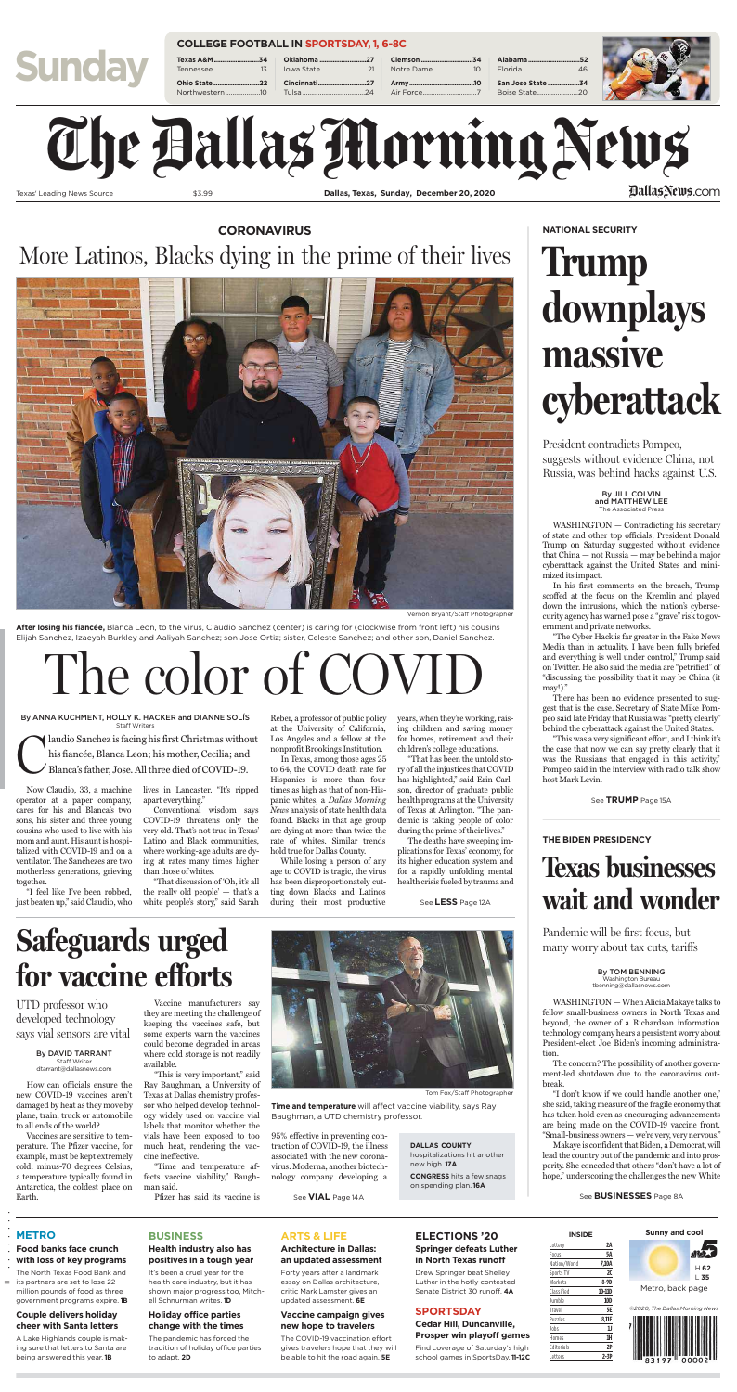How can officials ensure the new COVID-19 vaccines aren't damaged by heat as they move by plane, train, truck or automobile to all ends of the world?

Vaccines are sensitive to temperature. The Pfizer vaccine, for example, must be kept extremely cold: minus-70 degrees Celsius, a temperature typically found in Antarctica, the coldest place on Earth.

Vaccine manufacturers say they are meeting the challenge of keeping the vaccines safe, but some experts warn the vaccines could become degraded in areas where cold storage is not readily available.

"This is very important," said Ray Baughman, a University of Texas at Dallas chemistry professor who helped develop technology widely used on vaccine vial labels that monitor whether the vials have been exposed to too much heat, rendering the vaccine ineffective.

"Time and temperature affects vaccine viability," Baughman said.

WASHINGTON — When Alicia Makaye talks to fellow small-business owners in North Texas and beyond, the owner of a Richardson information technology company hears a persistent worry about President-elect Joe Biden's incoming administration.

Pfizer has said its vaccine is

95% effective in preventing contraction of COVID-19, the illness associated with the new coronavirus. Moderna, another biotechnology company developing a

## **Safeguards urged for vaccine efforts**

By DAVID TARRANT Staff Writer dtarrant@dallasnews.com

UTD professor who developed technology says vial sensors are vital



Tom Fox/Staff Photographer

**Time and temperature** will affect vaccine viability, says Ray Baughman, a UTD chemistry professor.

II ........ The North Texas Food Bank and its partners are set to lose 22 million pounds of food as three government programs expire. **1B** See **VIAL** Page 14A

**DALLAS COUNTY** hospitalizations hit another new high. **17A CONGRESS** hits a few snags

on spending plan. **16A**

The concern? The possibility of another government-led shutdown due to the coronavirus outbreak.

# Texas' Leading News Source \$3.99 **Dallas, Texas, Sunday, December 20, 2020** Examples Source 53.99 Dallas, Texas, Sunday, December 20, 2020<br>
Dallas, Texas, Sunday, December 20, 2020<br>
Dallas, Texas, Sunday, December 20, 2020<br>
Dallas, Texas, Sunday, December 20, 2020<br>
Dallas, Texas, Sunday, December

"I don't know if we could handle another one," she said, taking measure of the fragile economy that has taken hold even as encouraging advancements are being made on the COVID-19 vaccine front. "Small-business owners— we're very, very nervous."

Makaye is confident that Biden, a Democrat, will lead the country out of the pandemic and into prosperity. She conceded that others "don't have a lot of hope," underscoring the challenges the new White

## **Texas businesses wait and wonder**

**Alabama...............................52** Florida ... **San Jose State ...................34** Boise State.



#### **THE BIDEN PRESIDENCY**

By TOM BENNING Washington Bureau tbenning@dallasnews.com

Pandemic will be first focus, but many worry about tax cuts, tariffs

See **BUSINESSES** Page 8A

#### **METRO**

#### **Food banks face crunch with loss of key programs**

#### **Couple delivers holiday cheer with Santa letters**

A Lake Highlands couple is making sure that letters to Santa are being answered this year. **1B**

#### **BUSINESS**

#### **Health industry also has positives in a tough year**

It's been a cruel year for the health care industry, but it has shown major progress too, Mitchell Schnurman writes. **1D**

#### **Holiday office parties change with the times**

The pandemic has forced the tradition of holiday office parties to adapt. **2D**

#### **ARTS & LIFE**

#### **Architecture in Dallas: an updated assessment**

laudio Sanchez is facing his first Christmas without his fiancée, Blanca Leon; his mother, Cecilia; and Blanca's father, Jose. All three died of COVID-19.

> Forty years after a landmark essay on Dallas architecture, critic Mark Lamster gives an updated assessment. **6E**

#### **Vaccine campaign gives new hope to travelers**

The COVID-19 vaccination effort gives travelers hope that they will be able to hit the road again. **5E**

#### **ELECTIONS '20**

#### **Springer defeats Luther in North Texas runoff**

Drew Springer beat Shelley Luther in the hotly contested Senate District 30 runoff. **4A**

#### **SPORTSDAY**

#### **Cedar Hill, Duncanville, Prosper win playoff games**

Find coverage of Saturday's high school games in SportsDay. **11-12C**



**Sunny and cool**





| INSIDE       |            |  |  |  |
|--------------|------------|--|--|--|
| Lottery      | 2A         |  |  |  |
| Focus        | 5Α         |  |  |  |
| Nation/World | 7,10A      |  |  |  |
| Sports TV    | 20         |  |  |  |
| Markets      | 8-9D       |  |  |  |
| Classified   | 10-11D     |  |  |  |
| Jumble       | <b>10D</b> |  |  |  |
| Travel       | 5E         |  |  |  |
| Puzzles      | 8,11E      |  |  |  |
| Jobs         | IJ         |  |  |  |
| Homes        | 1H         |  |  |  |
| Editorials   | 2P         |  |  |  |
| Letters      | $2-3P$     |  |  |  |

**Sunday**

**Texas A&** Tennesse **Ohio Stat** Northwes

#### **COLLEGE FOOTBALL IN SPORTSDAY, 1, 6-8C**

| e 13   lowa State 21 |  |
|----------------------|--|
| e22  Cincinnati27    |  |
|                      |  |

| 27  Clemson 34 |
|----------------|
| $\ldots$ 21    |
|                |
| 24             |
|                |

#### DallasNews.com

WASHINGTON — Contradicting his secretary of state and other top officials, President Donald Trump on Saturday suggested without evidence that China — not Russia — may be behind a major cyberattack against the United States and minimized its impact.

In his first comments on the breach, Trump scoffed at the focus on the Kremlin and played down the intrusions, which the nation's cybersecurity agency has warned pose a "grave" risk to government and private networks.

"The Cyber Hack is far greater in the Fake News Media than in actuality. I have been fully briefed and everything is well under control," Trump said on Twitter. He also said the media are "petrified" of "discussing the possibility that it may be China (it may!)."

There has been no evidence presented to suggest that is the case. Secretary of State Mike Pompeo said late Friday that Russia was "pretty clearly" behind the cyberattack against the United States.

"This was a very significant effort, and I think it's the case that now we can say pretty clearly that it was the Russians that engaged in this activity," Pompeo said in the interview with radio talk show host Mark Levin.

## **Trump downplays massive cyberattack**

### **NATIONAL SECURITY**

President contradicts Pompeo, suggests without evidence China, not Russia, was behind hacks against U.S.

> By JILL COLVIN and MATTHEW LEE The Associated Press

#### See **TRUMP** Page 15A

Now Claudio, 33, a machine lives in Lancaster. "It's ripped operator at a paper company, cares for his and Blanca's two sons, his sister and three young cousins who used to live with his mom and aunt. His aunt is hospitalized with COVID-19 and on a ventilator. The Sanchezes are two motherless generations, grieving together. "I feel like I've been robbed, just beaten up," said Claudio, who apart everything." Conventional wisdom says COVID-19 threatens only the very old. That's not true in Texas' Latino and Black communities, where working-age adults are dying at rates many times higher than those of whites. "That discussion of 'Oh, it's all the really old people' — that's a white people's story," said Sarah

Reber, a professor of public policy at the University of California, Los Angeles and a fellow at the nonprofit Brookings Institution.

In Texas, among those ages 25 to 64, the COVID death rate for Hispanics is more than four times as high as that of non-Hispanic whites, a *Dallas Morning News* analysis of state health data found. Blacks in that age group are dying at more than twice the rate of whites. Similar trends hold true for Dallas County. While losing a person of any age to COVID is tragic, the virus has been disproportionately cutting down Blacks and Latinos during their most productive

years, when they're working, raising children and saving money for homes, retirement and their children's college educations.

"That has been the untold story of all the injustices that COVID has highlighted," said Erin Carlson, director of graduate public health programs at the University of Texas at Arlington. "The pandemic is taking people of color during the prime of their lives."

The deaths have sweeping implications for Texas' economy, for its higher education system and for a rapidly unfolding mental health crisis fueled by trauma and

### **CORONAVIRUS** More Latinos, Blacks dying in the prime of their lives



Vernon Bryant/Staff Photographer

**After losing his fiancée,** Blanca Leon, to the virus, Claudio Sanchez (center) is caring for (clockwise from front left) his cousins Elijah Sanchez, Izaeyah Burkley and Aaliyah Sanchez; son Jose Ortiz; sister, Celeste Sanchez; and other son, Daniel Sanchez.

# The color of C

By ANNA KUCHMENT, HOLLY K. HACKER and DIANNE SOLÍS Staff Writers

See **LESS** Page 12A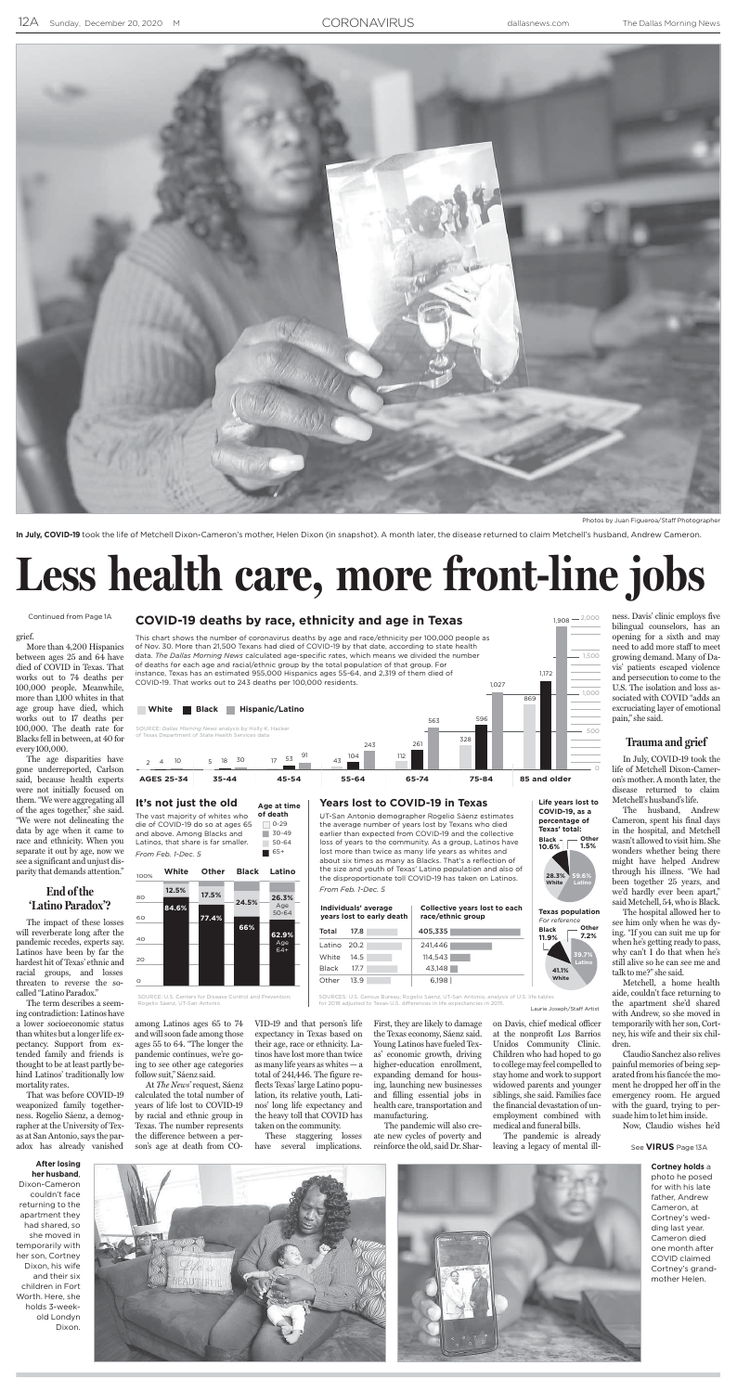

grief.

More than 4,200 Hispanics between ages 25 and 64 have died of COVID in Texas. That works out to 74 deaths per 100,000 people. Meanwhile, more than 1,100 whites in that age group have died, which works out to 17 deaths per 100,000. The death rate for Blacks fell in between, at 40 for every 100,000.

The age disparities have gone underreported, Carlson said, because health experts were not initially focused on them. "We were aggregating all of the ages together," she said. "We were not delineating the data by age when it came to race and ethnicity. When you separate it out by age, now we see a significant and unjust disparity that demands attention."

#### **End of the 'Latino Paradox'?**

The impact of these losses will reverberate long after the pandemic recedes, experts say. Latinos have been by far the hardest hit of Texas' ethnic and racial groups, and losses threaten to reverse the socalled "Latino Paradox."

The term describes a seeming contradiction: Latinos have a lower socioeconomic status than whites but a longer life expectancy. Support from extended family and friends is thought to be at least partly behind Latinos' traditionally low mortality rates.

That was before COVID-19 weaponized family togetherness. Rogelio Sáenz, a demographer at the University of Texas at San Antonio, says the paradox has already vanished

among Latinos ages 65 to 74 and will soon fade among those ages 55 to 64. "The longer the pandemic continues, we're going to see other age categories follow suit," Sáenz said.

At *The News'* request, Sáenz calculated the total number of years of life lost to COVID-19 by racial and ethnic group in Texas. The number represents the difference between a person's age at death from CO- VID-19 and that person's life expectancy in Texas based on their age, race or ethnicity. Latinos have lost more than twice as many life years as whites — a total of 241,446. The figure reflects Texas' large Latino population, its relative youth, Latinos' long life expectancy and the heavy toll that COVID has taken on the community.

These staggering losses have several implications.

First, they are likely to damage the Texas economy, Sáenz said. Young Latinos have fueled Texas' economic growth, driving higher-education enrollment, expanding demand for housing, launching new businesses and filling essential jobs in health care, transportation and manufacturing.

The pandemic will also create new cycles of poverty and reinforce the old, said Dr. Sharon Davis, chief medical officer at the nonprofit Los Barrios Unidos Community Clinic. Children who had hoped to go to collegemay feel compelled to stay home and work to support widowed parents and younger

siblings, she said. Families face the financial devastation of unemployment combined with

medical and funeral bills.

**of death**  $\Box$  0-29 die of COVID-19 do so at ages 65 and above. Among Blacks and  $30-49$ Latinos, that share is far smaller. 50-64 From Feb. 1-Dec. 5  $\blacksquare$  65+

> The pandemic is already leaving a legacy of mental ill

ness. Davis' clinic employs five bilingual counselors, has an opening for a sixth and may need to add more staff to meet growing demand. Many of Davis' patients escaped violence and persecution to come to the U.S. The isolation and loss associated with COVID "adds an excruciating layer of emotional pain," she said.

#### **Trauma and grief**

**Texas population** For reference

In July, COVID-19 took the life of Metchell Dixon-Cameron's mother. A month later, the disease returned to claim Metchell's husband's life. The husband, Andrew Cameron, spent his final days in the hospital, and Metchell wasn't allowed to visit him. She wonders whether being there might have helped Andrew through his illness. "We had been together 25 years, and we'd hardly ever been apart," said Metchell, 54, who is Black. The hospital allowed her to see him only when he was dying. "If you can suit me up for when he's getting ready to pass, why can't I do that when he's still alive so he can see me and talk to me?" she said. Metchell, a home health aide, couldn't face returning to the apartment she'd shared with Andrew, so she moved in temporarily with her son, Cortney, his wife and their six children. Claudio Sanchez also relives painful memories of being separated from his fiancée the moment he dropped her off in the emergency room. He argued with the guard, trying to persuade him to let him inside. Now, Claudio wishes he'd

Photos by Juan Figueroa/Staff Photographer

In July, COVID-19 took the life of Metchell Dixon-Cameron's mother, Helen Dixon (in snapshot). A month later, the disease returned to claim Metchell's husband, Andrew Cameron.

## **Less health care, more front-line jobs**

#### **COVID-19 deaths by race, ethnicity and age in Texas**

This chart shows the number of coronavirus deaths by age and race/ethnicity per 100,000 people as of Nov. 30. More than 21,500 Texans had died of COVID-19 by that date, according to state health data. *The Dallas Morning News* calculated age-specific rates, which means we divided the number of deaths for each age and racial/ethnic group by the total population of that group. For instance, Texas has an estimated 955,000 Hispanics ages 55-64, and 2,319 of them died of COVID-19. That works out to 243 deaths per 100,000 residents. 1,027

1,500

1,908 — <sup>2,000</sup>



1,172

#### **It's not just the old** The vast majority of whites who

SOURCE: U.S. Centers for Disease Control and Prevention; Rogelio Sáenz, UT-San Antonio



| 100% | White | <b>Other</b> | <b>Black</b> | Latino           |
|------|-------|--------------|--------------|------------------|
| 80   | 12.5% | 17.5%        | 24.5%        | 26.3%            |
| 60   | 84.6% | 77.4%        |              | Age<br>$50 - 64$ |
| 40   |       |              | 66%          | 62.9%<br>Aae     |

**Age at time**

Laurie Joseph/Staff Artist SOURCES: U.S. Census Bureau; Rogelio Sáenz, UT-San Antonio, analysis of U.S. life tables for 2018 adjusted to Texas-U.S. differences in life expectancies in 2015.

**Years lost to COVID-19 in Texas** UT-San Antonio demographer Rogelio Sáenz estimates the average number of years lost by Texans who died earlier than expected from COVID-19 and the collective loss of years to the community. As a group, Latinos have lost more than twice as many life years as whites and about six times as many as Blacks. That's a reflection of the size and youth of Texas' Latino population and also of the disproportionate toll COVID-19 has taken on Latinos.

*From Feb. 1-Dec. 5*

**Individuals' average years lost to early death**

Total 17.8 405.335 Latino 20.2 241,446 White 14.5 114,543 Black 17.7 | 43,148 Other 13.9 6,198

**Collective years lost to each**

**race/ethnic group**

**Life years lost to COVID-19, as a percentage of Texas' total: Black Other**

 $\circ$ 

**59.6% Latino 28.3% White 10.6% 1.5%**



#### **After losing her husband**,

Dixon-Cameron couldn't face returning to the apartment they had shared, so she moved in temporarily with her son, Cortney Dixon, his wife and their six children in Fort Worth. Here, she holds 3-weekold Londyn Dixon.





**Cortney holds** a photo he posed for with his late father, Andrew Cameron, at Cortney's wedding last year. Cameron died one month after COVID claimed Cortney's grandmother Helen.

#### Continued from Page 1A

See **VIRUS** Page 13A